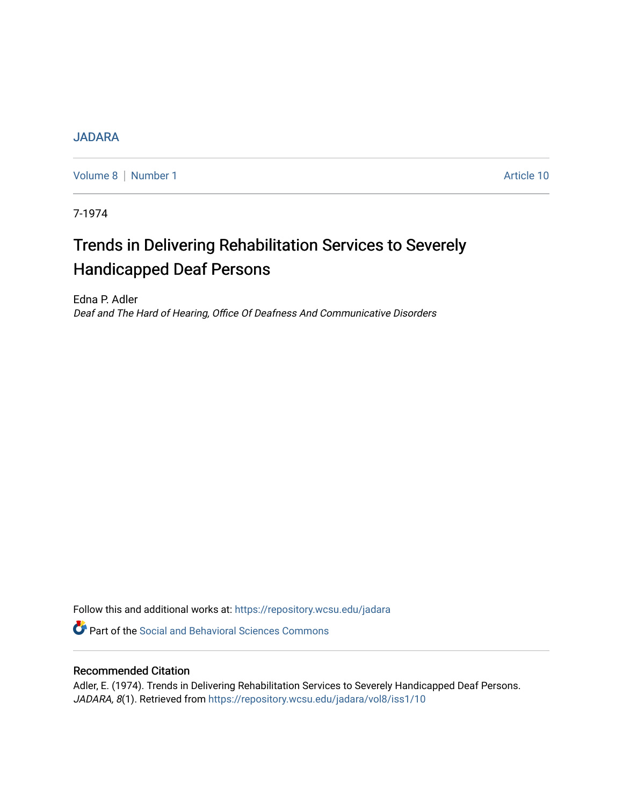## [JADARA](https://repository.wcsu.edu/jadara)

[Volume 8](https://repository.wcsu.edu/jadara/vol8) | [Number 1](https://repository.wcsu.edu/jadara/vol8/iss1) Article 10

7-1974

# Trends in Delivering Rehabilitation Services to Severely Handicapped Deaf Persons

Edna P. Adler Deaf and The Hard of Hearing, Office Of Deafness And Communicative Disorders

Follow this and additional works at: [https://repository.wcsu.edu/jadara](https://repository.wcsu.edu/jadara?utm_source=repository.wcsu.edu%2Fjadara%2Fvol8%2Fiss1%2F10&utm_medium=PDF&utm_campaign=PDFCoverPages)

**P** Part of the Social and Behavioral Sciences Commons

### Recommended Citation

Adler, E. (1974). Trends in Delivering Rehabilitation Services to Severely Handicapped Deaf Persons. JADARA, 8(1). Retrieved from [https://repository.wcsu.edu/jadara/vol8/iss1/10](https://repository.wcsu.edu/jadara/vol8/iss1/10?utm_source=repository.wcsu.edu%2Fjadara%2Fvol8%2Fiss1%2F10&utm_medium=PDF&utm_campaign=PDFCoverPages)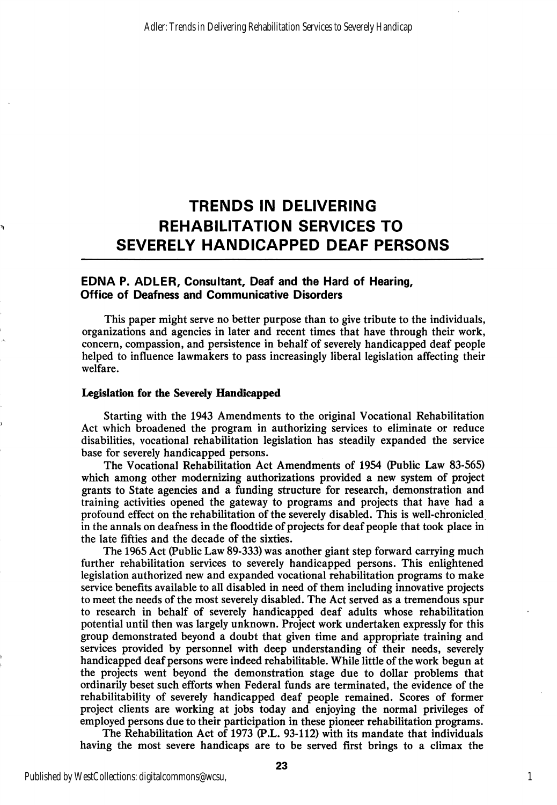# TRENDS IN DELIVERING REHABILITATION SERVICES TO SEVERELY HANDICAPPED DEAF PERSONS

#### EDNA P. ADLER, Consultant, Deaf and the Hard of Hearing, Office of Deafness and Communicative Disorders

This paper might serve no better purpose than to give tribute to the individuals, organizations and agencies in later and recent times that have through their work, concern, compassion, and persistence in behalf of severely handicapped deaf people helped to influence lawmakers to pass increasingly liberal legislation affecting their welfare.

#### Legislation for the Severely Handicapped

Starting with the 1943 Amendments to the original Vocational Rehabilitation Act which broadened the program in authorizing services to eliminate or reduce disabilities, vocational rehabilitation legislation has steadily expanded the service base for severely handicapped persons.

The Vocational Rehabilitation Act Amendments of 1954 (Public Law 83-565) which among other modernizing authorizations provided a new system of project grants to State agencies and a funding structure for research, demonstration and training activities opened the gateway to programs and projects that have had a profound effect on the rehabilitation of the severely disabled. This is well-chronicled in the annals on deafness in the floodtide of projects for deaf people that took place in the late fifties and the decade of the sixties.

The 1965 Act (Public Law 89-333) was another giant step forward carrying much further rehabilitation services to severely handicapped persons. This enlightened legislation authorized new and expanded vocational rehabilitation programs to make service benefits available to all disabled in need of them including innovative projects to meet the needs of the most severely disabled. The Act served as a tremendous spur to research in behalf of severely handicapped deaf adults whose rehabilitation potential until then was largely unknown. Project work undertaken expressly for this group demonstrated beyond a doubt that given time and appropriate training and services provided by personnel with deep understanding of their needs, severely handicapped deaf persons were indeed rehabilitable. While little of the work begun at the projects went beyond the demonstration stage due to dollar problems that ordinarily beset such efforts when Federal funds are terminated, the evidence of the rehabilitability of severely handicapped deaf people remained. Scores of former project clients are working at jobs today and enjoying the normal privileges of employed persons due to their participation in these pioneer rehabilitation programs.

The Rehabilitation Act of 1973 (P.L. 93-112) with its mandate that individuals having the most severe handicaps are to be served first brings to a climax the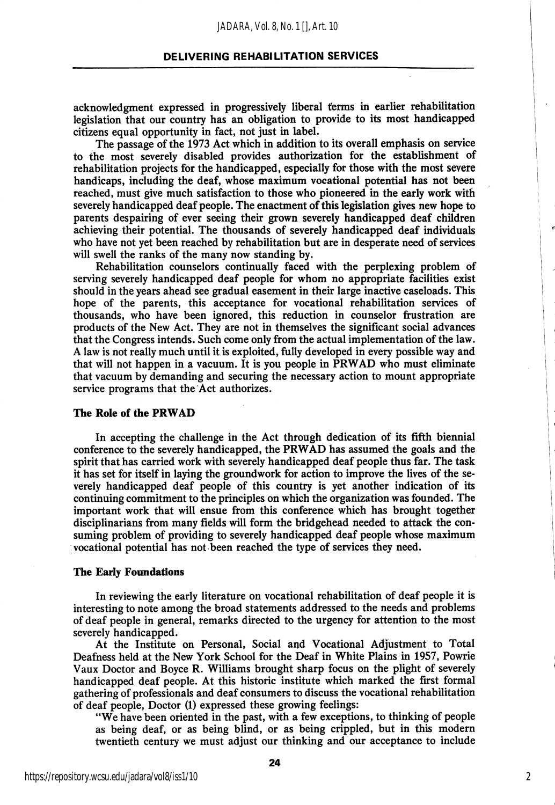#### DELIVERING REHABILITATION SERVICES

acknowledgment expressed in progressively liberal terms in earlier rehabilitation legislation that our country has an obligation to provide to its most handicapped citizens equal opportunity in fact, not just in label.

The passage of the 1973 Act which in addition to its overall emphasis on service to the most severely disabled provides authorization for the establishment of rehabilitation projects for the handicapped, especially for those with the most severe handicaps, including the deaf, whose maximum vocational potential has not been reached, must give much satisfaction to those who pioneered in the early work with severely handicapped deaf people. The enactment of this legislation gives new hope to parents despairing of ever seeing their grown severely handicapped deaf children achieving their potential. The thousands of severely handicapped deaf individuals who have not yet been reached by rehabilitation but are in desperate need of services will swell the ranks of the many now standing by.

Rehabilitation counselors continually faced with the perplexing problem of serving severely handicapped deaf people for whom no appropriate facilities exist should in the years ahead see gradual easement in their large inactive caseloads. This hope of the parents, this acceptance for vocational rehabilitation services of thousands, who have been ignored, this reduction in counselor frustration are products of the New Act. They are not in themselves the significant social advances that the Congress intends. Such come only from the actual implementation of the law. A law is not really much until it is exploited, fully developed in every possible way and that will not happen in a vacuum. It is you people in PRWAD who must eliminate that vacuum by demanding and securing the necessary action to mount appropriate service programs that the Act authorizes.

#### The Role of the PRWAD

In accepting the challenge in the Act through dedication of its fifth biennial conference to the severely handicapped, the PRWAD has assumed the goals and the spirit that has carried work with severely handicapped deaf people thus far. The task it has set for itself in laying the groundwork for action to improve the lives of the se verely handicapped deaf people of this country is yet another indication of its continuing commitment to the principles on which the organization was founded. The important work that will ensue from this conference which has brought together disciplinarians from many fields will form the bridgehead needed to attack the con suming problem of providing to severely handicapped deaf people whose maximum vocational potential has not been reached the type of services they need.

#### The Early Foundations

In reviewing the early literature on vocational rehabilitation of deaf people it is interesting to note among the broad statements addressed to the needs and problems of deaf people in general, remarks directed to the urgency for attention to the most severely handicapped.

At the Institute on Personal, Social and Vocational Adjustment to Total Deafness held at the New York School for the Deaf in White Plains in 1957, Powrie Vaux Doctor and Boyce R. Williams brought sharp focus on the plight of severely handicapped deaf people. At this historic institute which marked the first formal gathering of professionals and deaf consumers to discuss the vocational rehabilitation of deaf people. Doctor (1) expressed these growing feelings:

"We have been oriented in the past, with a few exceptions, to thinking of people as being deaf, or as being blind, or as being crippled, but in this modern twentieth century we must adjust our thinking and our acceptance to include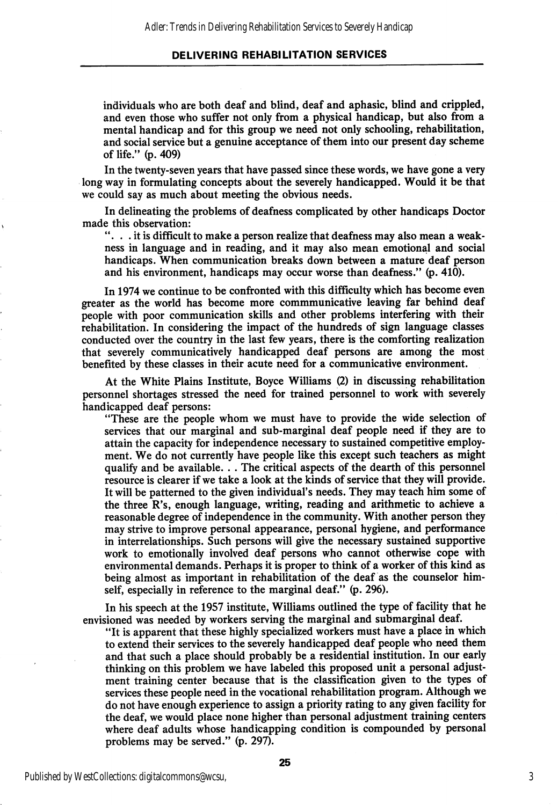#### DELIVERING REHABILITATION SERVICES

individuals who are both deaf and blind, deaf and aphasic, blind and crippled, and even those who suffer not only from a physical handicap, but also from a mental handicap and for this group we need not only schooling, rehabilitation, and social service but a genuine acceptance of them into our present day scheme of life." (p. 409)

In the twenty-seven years that have passed since these words, we have gone a very long way in formulating concepts about the severely handicapped. Would it be that we could say as much about meeting the obvious needs.

In delineating the problems of deafness complicated by other handicaps Doctor made this observation:

 $\ldots$  it is difficult to make a person realize that deafness may also mean a weakness in language and in reading, and it may also mean emotional and social handicaps. When communication breaks down between a mature deaf person and his environment, handicaps may occur worse than deafness." (p. 410).

In 1974 we continue to be confronted with this difficulty which has become even greater as the world has become more commmunicative leaving far behind deaf people with poor communication skills and other problems interfering with their rehabilitation. In considering the impact of the hundreds of sign language classes conducted over the country in the last few years, there is the comforting realization that severely communicatively handicapped deaf persons are among the most benefited by these classes in their acute need for a communicative environment.

At the White Plains Institute, Boyce Williams (2) in discussing rehabilitation personnel shortages stressed the need for trained personnel to work with severely handicapped deaf persons:

"These are the people whom we must have to provide the wide selection of services that our marginal and sub-marginal deaf people need if they are to attain the capacity for independence necessary to sustained competitive employ ment. We do not currently have people like this except such teachers as might qualify and be available. . . The critical aspects of the dearth of this personnel resource is clearer if we take a look at the kinds of service that they will provide. It will be patterned to the given individual's needs. They may teach him some of the three R's, enough language, writing, reading and arithmetic to achieve a reasonable degree of independence in the community. With another person they may strive to improve personal appearance, personal hygiene, and performance in interrelationships. Such persons will give the necessary sustained supportive work to emotionally involved deaf persons who cannot otherwise cope with environmental demands. Perhaps it is proper to think of a worker of this kind as being almost as important in rehabilitation of the deaf as the counselor him self, especially in reference to the marginal deaf." (p. 296).

In his speech at the 1957 institute, Williams outlined the type of facility that he envisioned was needed by workers serving the marginal and submarginal deaf.

"It is apparent that these highly specialized workers must have a place in which to extend their services to the severely handicapped deaf people who need them and that such a place should probably be a residential institution. In our early thinking on this problem we have labeled this proposed unit a personal adjust ment training center because that is the classification given to the types of services these people need in the vocational rehabilitation program. Although we do not have enough experience to assign a priority rating to any given facility for the deaf, we would place none higher than personal adjustment training centers where deaf adults whose handicapping condition is compounded by personal problems may be served." (p. 297).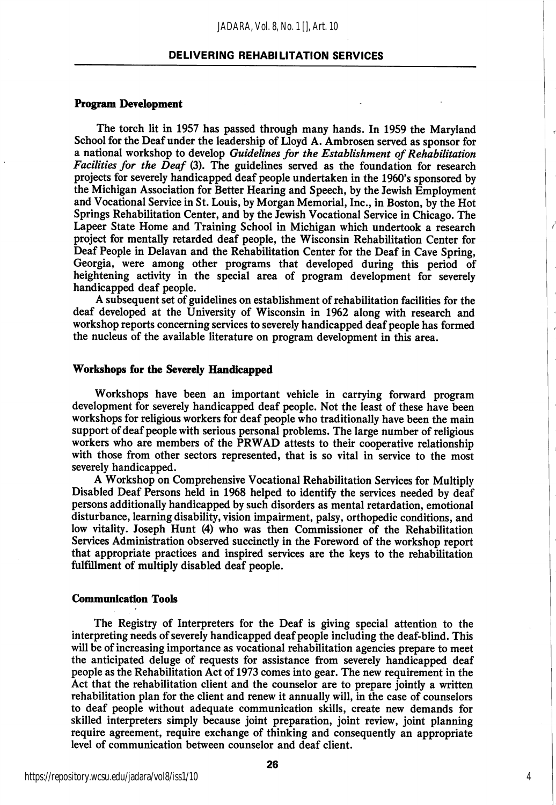#### DELIVERING REHABILITATION SERVICES

#### Program Development

The torch lit in 1957 has passed through many hands. In 1959 the Maryland School for the Deaf under the leadership of Lloyd A. Ambrosen served as sponsor for a national workshop to develop Guidelines for the Establishment of Rehabilitation Facilities for the Deaf (3). The guidelines served as the foundation for research projects for severely handicapped deaf people undertaken in the 1960's sponsored by the Michigan Association for Better Hearing and Speech, by the Jewish Employment and Vocational Service in St. Louis, by Morgan Memorial, Inc., in Boston, by the Hot Springs Rehabilitation Center, and by the Jewish Vocational Service in Chicago. The Lapeer State Home and Training School in Michigan which undertook a research project for mentally retarded deaf people, the Wisconsin Rehabilitation Center for Deaf People in Delavan and the Rehabilitation Center for the Deaf in Cave Spring, Georgia, were among other programs that developed during this period of heightening activity in the special area of program development for severely handicapped deaf people.

A subsequent set of guidelines on establishment of rehabilitation facilities for the deaf developed at the University of Wisconsin in 1962 along with research and workshop reports concerning services to severely handicapped deaf people has formed the nucleus of the available literature on program development in this area.

#### Workshops for the Severely Handicapped

Workshops have been an important vehicle in carrying forward program development for severely handicapped deaf people. Not the least of these have been workshops for religious workers for deaf people who traditionally have been the main support of deaf people with serious personal problems. The large number of religious workers who are members of the PRWAD attests to their cooperative relationship with those from other sectors represented, that is so vital in service to the most severely handicapped.

A Workshop on Comprehensive Vocational Rehabilitation Services for Multiply Disabled Deaf Persons held in 1968 helped to identify the services needed by deaf persons additionally handicapped by such disorders as mental retardation, emotional disturbance, learning disability, vision impairment, palsy, orthopedic conditions, and low vitality. Joseph Hunt (4) who was then Commissioner of the Rehabilitation Services Administration observed succinctly in the Foreword of the workshop report that appropriate practices and inspired services are the keys to the rehabilitation fulfillment of multiply disabled deaf people.

#### Communication Tools

The Registry of Interpreters for the Deaf is giving special attention to the interpreting needs of severely handicapped deaf people including the deaf-blind. This will be of increasing importance as vocational rehabilitation agencies prepare to meet the anticipated deluge of requests for assistance from severely handicapped deaf people as the Rehabilitation Act of 1973 comes into gear. The new requirement in the Act that the rehabilitation client and the counselor are to prepare jointly a written rehabilitation plan for the client and renew it annually will, in the case of counselors to deaf people without adequate communication skills, create new demands for skilled interpreters simply because joint preparation, joint review, joint planning require agreement, require exchange of thinking and consequently an appropriate level of communication between counselor and deaf client.

4

ł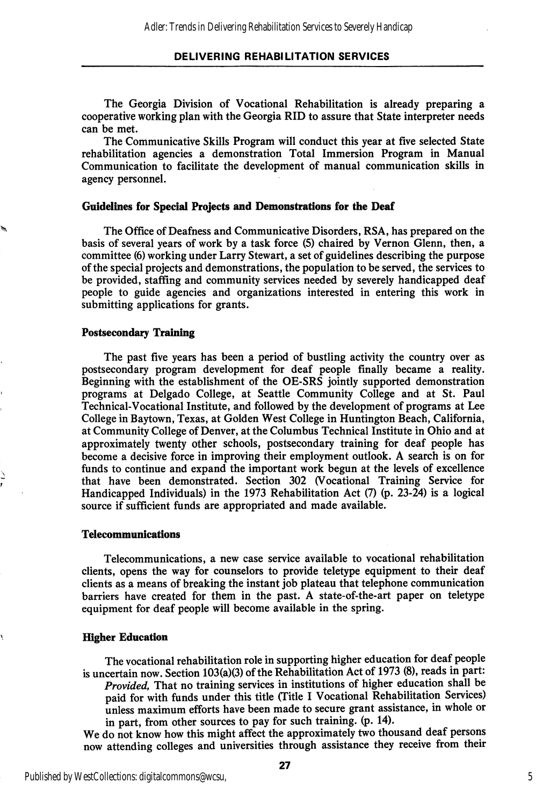The Georgia Division of Vocational Rehabilitation is already preparing a cooperative working plan with the Georgia RID to assure that State interpreter needs can be met.

The Communicative Skills Program will conduct this year at five selected State rehabilitation agencies a demonstration Total Immersion Program in Manual Communication to facilitate the development of manual communication skills in agency personnel.

#### Guidelines for Special Projects and Demonstrations for the Deaf

The Office of Deafness and Communicative Disorders, RSA, has prepared on the basis of several years of work by a task force (5) chaired by Vernon Glenn, then, a committee (6) working under Larry Stewart, a set of guidelines describing the purpose of the special projects and demonstrations, the population to be served, the services to be provided, staffing and community services needed by severely handicapped deaf people to guide agencies and organizations interested in entering this work in submitting applications for grants.

#### Postsecondary Training

The past five years has been a period of bustling activity the country over as postsecondary program development for deaf people finally became a reality. Beginning with the establishment of the OE-SRS jointly supported demonstration programs at Delgado College, at Seattle Community College and at St. Paul Technical-Vocational Institute, and followed by the development of programs at Lee College in Baytown, Texas, at Golden West College in Huntington Beach, California, at Community College of Denver, at the Columbus Technical Institute in Ohio and at approximately twenty other schools, postsecondary training for deaf people has become a decisive force in improving their employment outlook. A search is on for funds to continue and expand the important work begun at the levels of excellence that have been demonstrated. Section 302 (Vocational Training Service for Handicapped Individuals) in the 1973 Rehabilitation Act (7) (p. 23-24) is a logical source if sufficient funds are appropriated and made available.

#### Telecommunications

Telecommunications, a new case service available to vocational rehabilitation clients, opens the way for counselors to provide teletype equipment to their deaf clients as a means of breaking the instant job plateau that telephone communication barriers have created for them in the past. A state-of-the-art paper on teletype equipment for deaf people will become available in the spring.

#### Higher Education

The vocational rehabilitation role in supporting higher education for deaf people is uncertain now. Section 103(a)(3) of the Rehabilitation Act of 1973 (8), reads in part: Provided, That no training services in institutions of higher education shall be paid for with funds under this title (Title I Vocational Rehabilitation Services) unless maximum efforts have been made to secure grant assistance, in whole or in part, from other sources to pay for such training, (p. 14).

We do not know how this might affect the approximately two thousand deaf persons now attending colleges and universities through assistance they receive from their